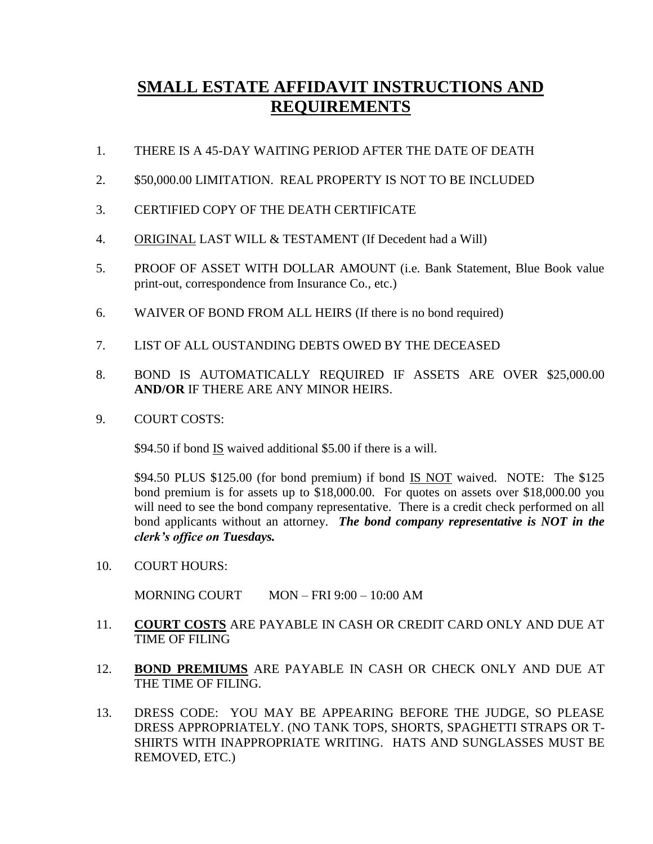# **SMALL ESTATE AFFIDAVIT INSTRUCTIONS AND REQUIREMENTS**

- 1. THERE IS A 45-DAY WAITING PERIOD AFTER THE DATE OF DEATH
- 2. \$50,000.00 LIMITATION. REAL PROPERTY IS NOT TO BE INCLUDED
- 3. CERTIFIED COPY OF THE DEATH CERTIFICATE
- 4. ORIGINAL LAST WILL & TESTAMENT (If Decedent had a Will)
- 5. PROOF OF ASSET WITH DOLLAR AMOUNT (i.e. Bank Statement, Blue Book value print-out, correspondence from Insurance Co., etc.)
- 6. WAIVER OF BOND FROM ALL HEIRS (If there is no bond required)
- 7. LIST OF ALL OUSTANDING DEBTS OWED BY THE DECEASED
- 8. BOND IS AUTOMATICALLY REQUIRED IF ASSETS ARE OVER \$25,000.00 **AND/OR** IF THERE ARE ANY MINOR HEIRS.
- 9. COURT COSTS:

\$94.50 if bond IS waived additional \$5.00 if there is a will.

\$94.50 PLUS \$125.00 (for bond premium) if bond IS NOT waived. NOTE: The \$125 bond premium is for assets up to \$18,000.00. For quotes on assets over \$18,000.00 you will need to see the bond company representative. There is a credit check performed on all bond applicants without an attorney. *The bond company representative is NOT in the clerk's office on Tuesdays.* 

10. COURT HOURS:

MORNING COURT MON – FRI 9:00 – 10:00 AM

- 11. **COURT COSTS** ARE PAYABLE IN CASH OR CREDIT CARD ONLY AND DUE AT TIME OF FILING
- 12. **BOND PREMIUMS** ARE PAYABLE IN CASH OR CHECK ONLY AND DUE AT THE TIME OF FILING.
- 13. DRESS CODE: YOU MAY BE APPEARING BEFORE THE JUDGE, SO PLEASE DRESS APPROPRIATELY. (NO TANK TOPS, SHORTS, SPAGHETTI STRAPS OR T-SHIRTS WITH INAPPROPRIATE WRITING. HATS AND SUNGLASSES MUST BE REMOVED, ETC.)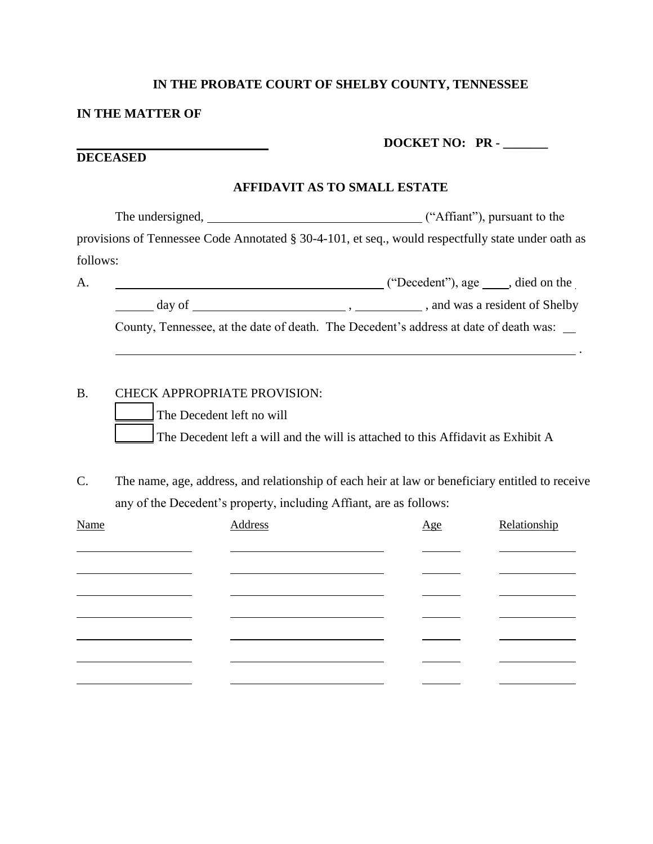### **IN THE PROBATE COURT OF SHELBY COUNTY, TENNESSEE**

#### **IN THE MATTER OF**

### **DOCKET NO: PR - \_\_\_\_\_\_\_**

# **DECEASED**

### **AFFIDAVIT AS TO SMALL ESTATE**

The undersigned,  $($ "Affiant"), pursuant to the provisions of Tennessee Code Annotated § 30-4-101, et seq., would respectfully state under oath as follows:

| А. |        | ("Decedent"), age ____, died on the                                                   |
|----|--------|---------------------------------------------------------------------------------------|
|    | day of | and was a resident of Shelby                                                          |
|    |        | County, Tennessee, at the date of death. The Decedent's address at date of death was: |

### B. CHECK APPROPRIATE PROVISION:

 The Decedent left no will The Decedent left a will and the will is attached to this Affidavit as Exhibit A

<u>. Andre Sterne and Sterne and Sterne and Sterne and Sterne and Sterne and Sterne and Sterne and Sterne and St</u>

C. The name, age, address, and relationship of each heir at law or beneficiary entitled to receive any of the Decedent's property, including Affiant, are as follows:

| <b>Name</b> | <b>Address</b> | Age | Relationship |
|-------------|----------------|-----|--------------|
|             |                |     |              |
|             |                |     |              |
|             |                |     |              |
|             |                |     |              |
|             |                |     |              |
|             |                |     |              |
|             |                |     |              |
|             |                |     |              |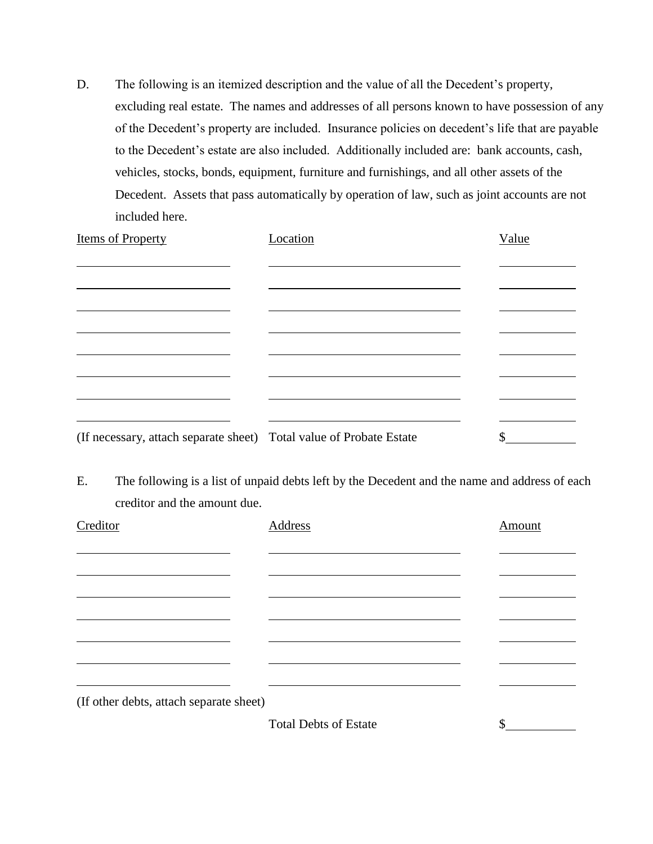D. The following is an itemized description and the value of all the Decedent's property, excluding real estate. The names and addresses of all persons known to have possession of any of the Decedent's property are included. Insurance policies on decedent's life that are payable to the Decedent's estate are also included. Additionally included are: bank accounts, cash, vehicles, stocks, bonds, equipment, furniture and furnishings, and all other assets of the Decedent. Assets that pass automatically by operation of law, such as joint accounts are not included here.

| Items of Property                                                   | Location | Value |
|---------------------------------------------------------------------|----------|-------|
|                                                                     |          |       |
|                                                                     |          |       |
|                                                                     |          |       |
|                                                                     |          |       |
|                                                                     |          |       |
|                                                                     |          |       |
|                                                                     |          |       |
| (If necessary, attach separate sheet) Total value of Probate Estate |          | \$    |

E. The following is a list of unpaid debts left by the Decedent and the name and address of each creditor and the amount due.

| Creditor                                | Address                      | Amount |
|-----------------------------------------|------------------------------|--------|
|                                         |                              |        |
|                                         |                              |        |
|                                         |                              |        |
|                                         |                              |        |
|                                         |                              |        |
|                                         |                              |        |
|                                         |                              |        |
|                                         |                              |        |
| (If other debts, attach separate sheet) |                              |        |
|                                         | <b>Total Debts of Estate</b> | \$     |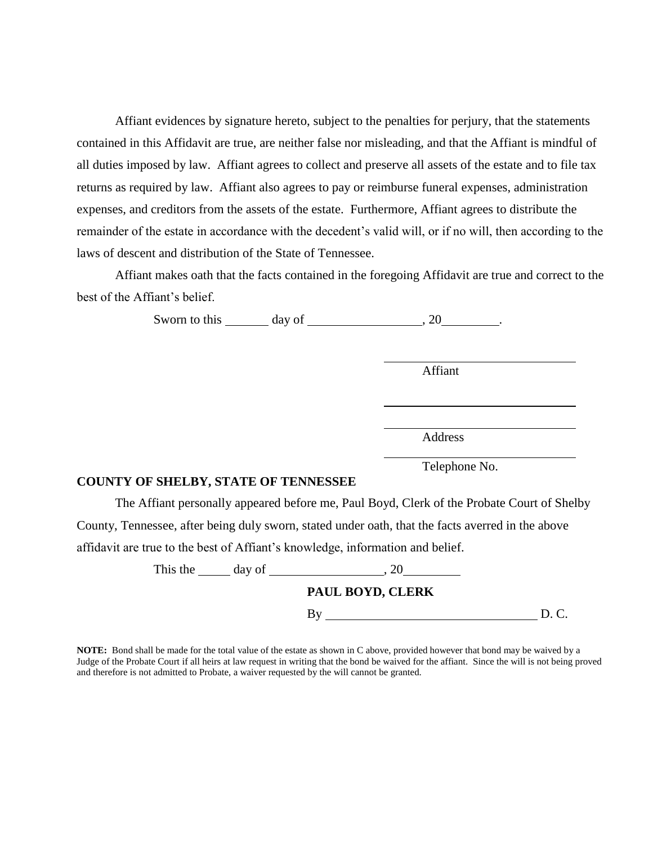Affiant evidences by signature hereto, subject to the penalties for perjury, that the statements contained in this Affidavit are true, are neither false nor misleading, and that the Affiant is mindful of all duties imposed by law. Affiant agrees to collect and preserve all assets of the estate and to file tax returns as required by law. Affiant also agrees to pay or reimburse funeral expenses, administration expenses, and creditors from the assets of the estate. Furthermore, Affiant agrees to distribute the remainder of the estate in accordance with the decedent's valid will, or if no will, then according to the laws of descent and distribution of the State of Tennessee.

Affiant makes oath that the facts contained in the foregoing Affidavit are true and correct to the best of the Affiant's belief.

Sworn to this  $\_\_\_\_$  day of  $\_\_\_\_\_\_$ , 20  $\_\_\_\_\_\_\_\_\_$ .

Affiant

 $\overline{a}$ 

 $\overline{a}$ 

Address

Telephone No.

### **COUNTY OF SHELBY, STATE OF TENNESSEE**

The Affiant personally appeared before me, Paul Boyd, Clerk of the Probate Court of Shelby County, Tennessee, after being duly sworn, stated under oath, that the facts averred in the above affidavit are true to the best of Affiant's knowledge, information and belief.

| This the | day of |                  |  |
|----------|--------|------------------|--|
|          |        | PAUL BOYD, CLERK |  |
|          |        |                  |  |

**NOTE:** Bond shall be made for the total value of the estate as shown in C above, provided however that bond may be waived by a Judge of the Probate Court if all heirs at law request in writing that the bond be waived for the affiant. Since the will is not being proved and therefore is not admitted to Probate, a waiver requested by the will cannot be granted.